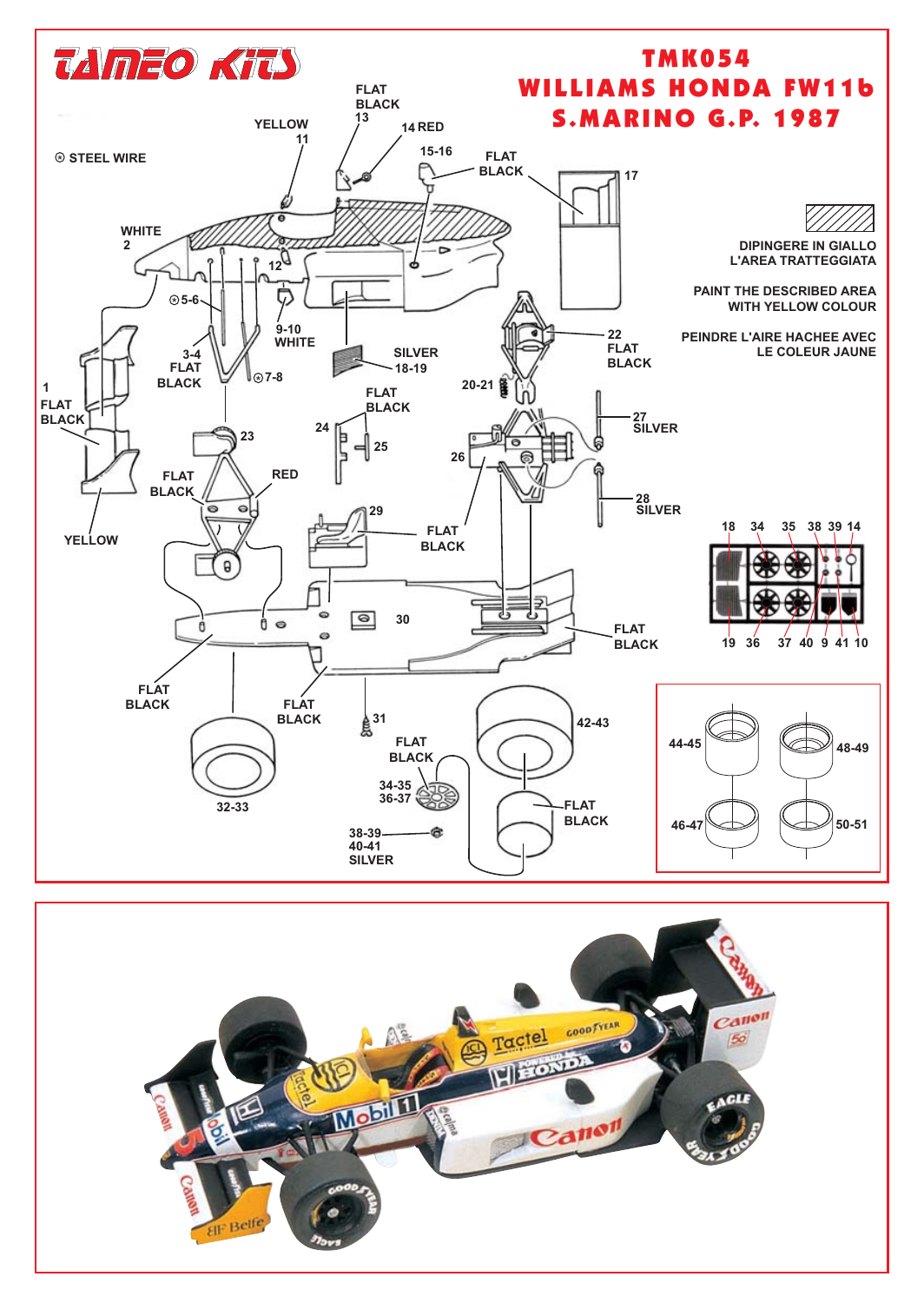